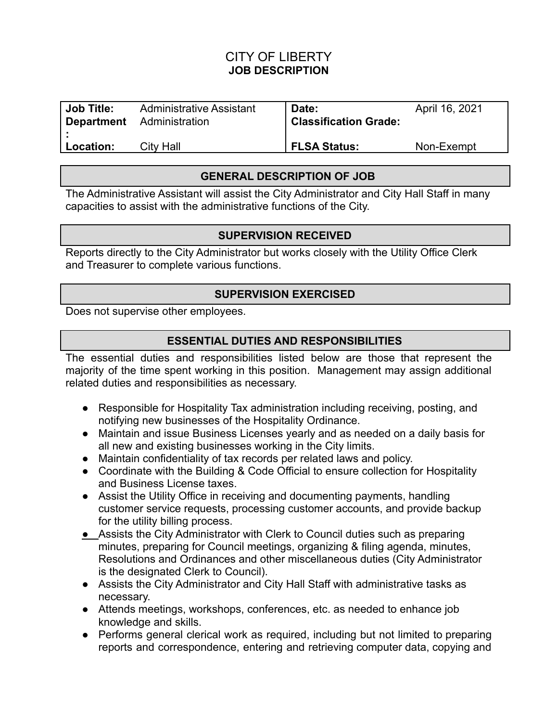# CITY OF LIBERTY **JOB DESCRIPTION**

| <b>Job Title:</b> | <b>Administrative Assistant</b> | Date:                        | April 16, 2021 |
|-------------------|---------------------------------|------------------------------|----------------|
| <b>Department</b> | Administration                  | <b>Classification Grade:</b> |                |
| Location:         | City Hall                       | <b>FLSA Status:</b>          | Non-Exempt     |

#### **GENERAL DESCRIPTION OF JOB**

The Administrative Assistant will assist the City Administrator and City Hall Staff in many capacities to assist with the administrative functions of the City.

#### **SUPERVISION RECEIVED**

Reports directly to the City Administrator but works closely with the Utility Office Clerk and Treasurer to complete various functions.

#### **SUPERVISION EXERCISED**

Does not supervise other employees.

#### **ESSENTIAL DUTIES AND RESPONSIBILITIES**

The essential duties and responsibilities listed below are those that represent the majority of the time spent working in this position. Management may assign additional related duties and responsibilities as necessary.

- Responsible for Hospitality Tax administration including receiving, posting, and notifying new businesses of the Hospitality Ordinance.
- Maintain and issue Business Licenses yearly and as needed on a daily basis for all new and existing businesses working in the City limits.
- Maintain confidentiality of tax records per related laws and policy.
- Coordinate with the Building & Code Official to ensure collection for Hospitality and Business License taxes.
- Assist the Utility Office in receiving and documenting payments, handling customer service requests, processing customer accounts, and provide backup for the utility billing process.
- **●** Assists the City Administrator with Clerk to Council duties such as preparing minutes, preparing for Council meetings, organizing & filing agenda, minutes, Resolutions and Ordinances and other miscellaneous duties (City Administrator is the designated Clerk to Council).
- Assists the City Administrator and City Hall Staff with administrative tasks as necessary.
- Attends meetings, workshops, conferences, etc. as needed to enhance job knowledge and skills.
- Performs general clerical work as required, including but not limited to preparing reports and correspondence, entering and retrieving computer data, copying and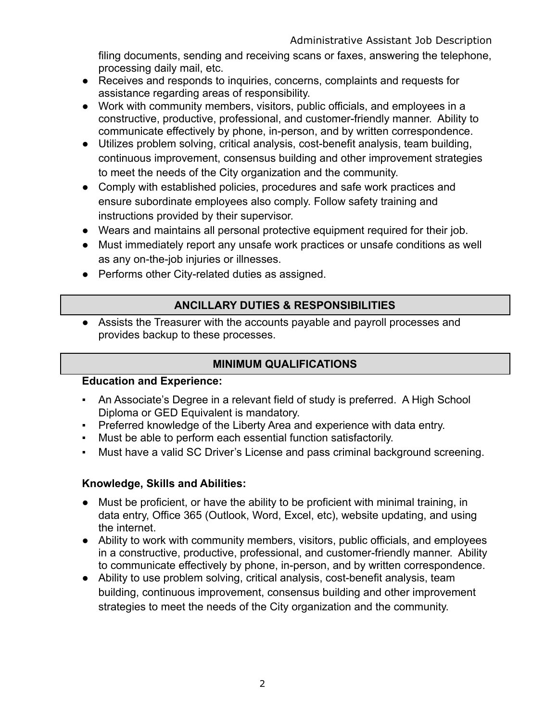filing documents, sending and receiving scans or faxes, answering the telephone, processing daily mail, etc.

- Receives and responds to inquiries, concerns, complaints and requests for assistance regarding areas of responsibility.
- Work with community members, visitors, public officials, and employees in a constructive, productive, professional, and customer-friendly manner. Ability to communicate effectively by phone, in-person, and by written correspondence.
- Utilizes problem solving, critical analysis, cost-benefit analysis, team building, continuous improvement, consensus building and other improvement strategies to meet the needs of the City organization and the community.
- Comply with established policies, procedures and safe work practices and ensure subordinate employees also comply. Follow safety training and instructions provided by their supervisor.
- Wears and maintains all personal protective equipment required for their job.
- Must immediately report any unsafe work practices or unsafe conditions as well as any on-the-job injuries or illnesses.
- Performs other City-related duties as assigned.

# **ANCILLARY DUTIES & RESPONSIBILITIES**

● Assists the Treasurer with the accounts payable and payroll processes and provides backup to these processes.

# **MINIMUM QUALIFICATIONS**

# **Education and Experience:**

- An Associate's Degree in a relevant field of study is preferred. A High School Diploma or GED Equivalent is mandatory.
- Preferred knowledge of the Liberty Area and experience with data entry.
- Must be able to perform each essential function satisfactorily.
- Must have a valid SC Driver's License and pass criminal background screening.

# **Knowledge, Skills and Abilities:**

- Must be proficient, or have the ability to be proficient with minimal training, in data entry, Office 365 (Outlook, Word, Excel, etc), website updating, and using the internet.
- Ability to work with community members, visitors, public officials, and employees in a constructive, productive, professional, and customer-friendly manner. Ability to communicate effectively by phone, in-person, and by written correspondence.
- Ability to use problem solving, critical analysis, cost-benefit analysis, team building, continuous improvement, consensus building and other improvement strategies to meet the needs of the City organization and the community.